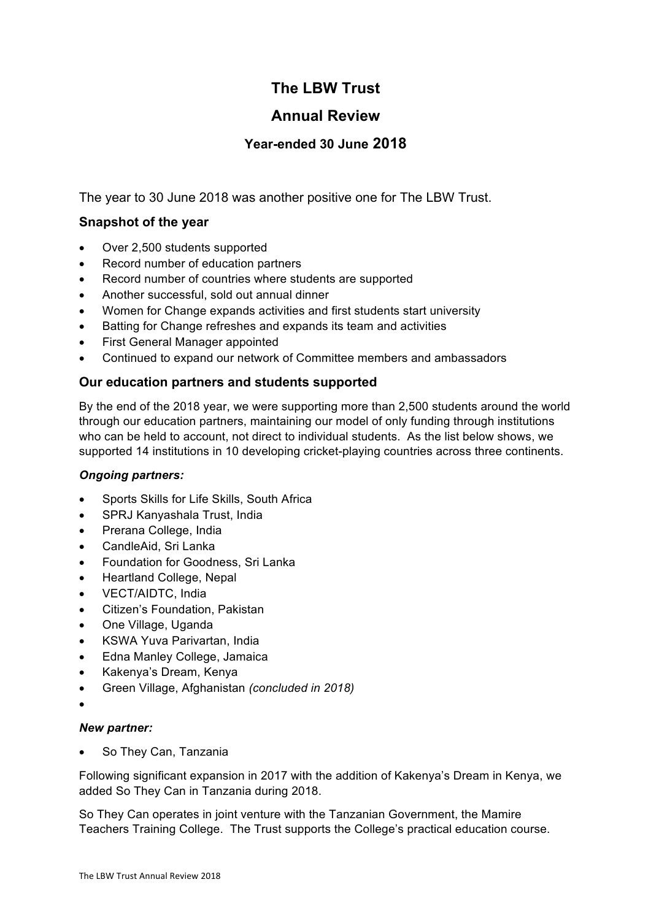# **The LBW Trust**

# **Annual Review**

# **Year-ended 30 June 2018**

The year to 30 June 2018 was another positive one for The LBW Trust.

## **Snapshot of the year**

- Over 2,500 students supported
- Record number of education partners
- Record number of countries where students are supported
- Another successful, sold out annual dinner
- Women for Change expands activities and first students start university
- Batting for Change refreshes and expands its team and activities
- First General Manager appointed
- Continued to expand our network of Committee members and ambassadors

### **Our education partners and students supported**

By the end of the 2018 year, we were supporting more than 2,500 students around the world through our education partners, maintaining our model of only funding through institutions who can be held to account, not direct to individual students. As the list below shows, we supported 14 institutions in 10 developing cricket-playing countries across three continents.

#### *Ongoing partners:*

- Sports Skills for Life Skills, South Africa
- SPRJ Kanyashala Trust, India
- Prerana College, India
- CandleAid, Sri Lanka
- Foundation for Goodness, Sri Lanka
- Heartland College, Nepal
- VECT/AIDTC, India
- Citizen's Foundation, Pakistan
- One Village, Uganda
- KSWA Yuva Parivartan, India
- Edna Manley College, Jamaica
- Kakenya's Dream, Kenya
- Green Village, Afghanistan *(concluded in 2018)*
- •

#### *New partner:*

So They Can, Tanzania

Following significant expansion in 2017 with the addition of Kakenya's Dream in Kenya, we added So They Can in Tanzania during 2018.

So They Can operates in joint venture with the Tanzanian Government, the Mamire Teachers Training College. The Trust supports the College's practical education course.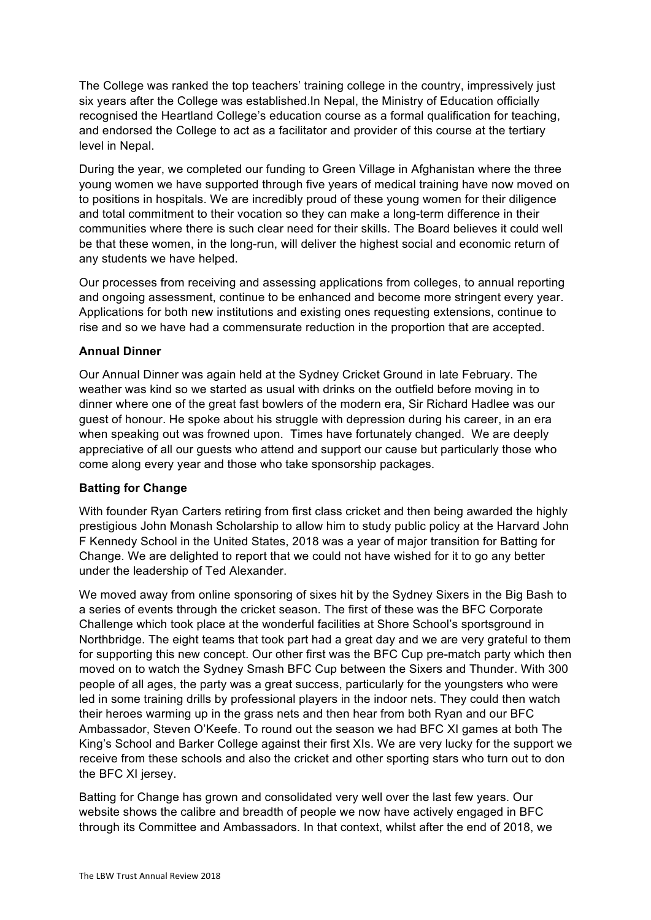The College was ranked the top teachers' training college in the country, impressively just six years after the College was established.In Nepal, the Ministry of Education officially recognised the Heartland College's education course as a formal qualification for teaching, and endorsed the College to act as a facilitator and provider of this course at the tertiary level in Nepal.

During the year, we completed our funding to Green Village in Afghanistan where the three young women we have supported through five years of medical training have now moved on to positions in hospitals. We are incredibly proud of these young women for their diligence and total commitment to their vocation so they can make a long-term difference in their communities where there is such clear need for their skills. The Board believes it could well be that these women, in the long-run, will deliver the highest social and economic return of any students we have helped.

Our processes from receiving and assessing applications from colleges, to annual reporting and ongoing assessment, continue to be enhanced and become more stringent every year. Applications for both new institutions and existing ones requesting extensions, continue to rise and so we have had a commensurate reduction in the proportion that are accepted.

#### **Annual Dinner**

Our Annual Dinner was again held at the Sydney Cricket Ground in late February. The weather was kind so we started as usual with drinks on the outfield before moving in to dinner where one of the great fast bowlers of the modern era, Sir Richard Hadlee was our guest of honour. He spoke about his struggle with depression during his career, in an era when speaking out was frowned upon. Times have fortunately changed. We are deeply appreciative of all our guests who attend and support our cause but particularly those who come along every year and those who take sponsorship packages.

### **Batting for Change**

With founder Ryan Carters retiring from first class cricket and then being awarded the highly prestigious John Monash Scholarship to allow him to study public policy at the Harvard John F Kennedy School in the United States, 2018 was a year of major transition for Batting for Change. We are delighted to report that we could not have wished for it to go any better under the leadership of Ted Alexander.

We moved away from online sponsoring of sixes hit by the Sydney Sixers in the Big Bash to a series of events through the cricket season. The first of these was the BFC Corporate Challenge which took place at the wonderful facilities at Shore School's sportsground in Northbridge. The eight teams that took part had a great day and we are very grateful to them for supporting this new concept. Our other first was the BFC Cup pre-match party which then moved on to watch the Sydney Smash BFC Cup between the Sixers and Thunder. With 300 people of all ages, the party was a great success, particularly for the youngsters who were led in some training drills by professional players in the indoor nets. They could then watch their heroes warming up in the grass nets and then hear from both Ryan and our BFC Ambassador, Steven O'Keefe. To round out the season we had BFC XI games at both The King's School and Barker College against their first XIs. We are very lucky for the support we receive from these schools and also the cricket and other sporting stars who turn out to don the BFC XI jersey.

Batting for Change has grown and consolidated very well over the last few years. Our website shows the calibre and breadth of people we now have actively engaged in BFC through its Committee and Ambassadors. In that context, whilst after the end of 2018, we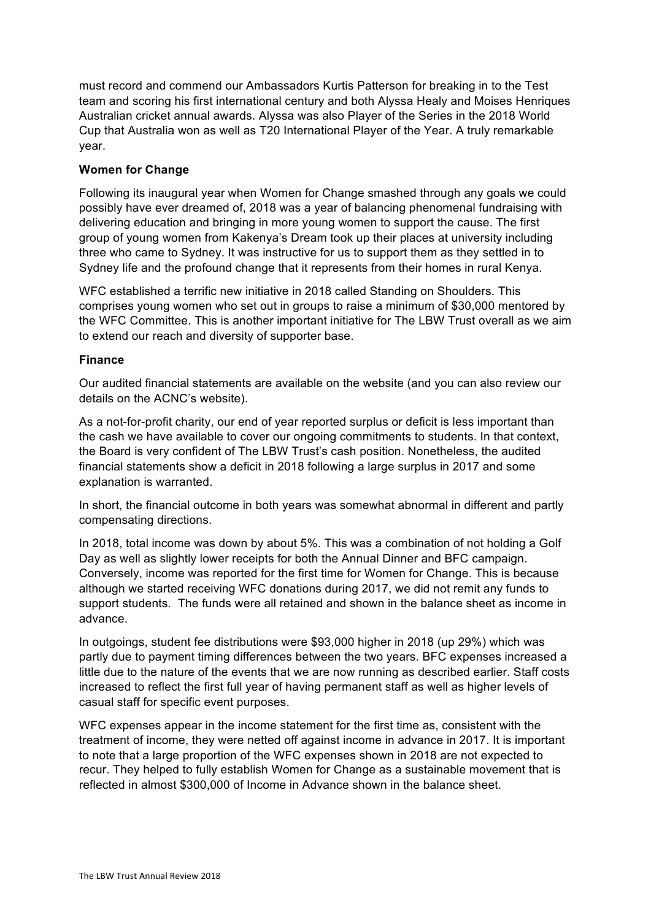must record and commend our Ambassadors Kurtis Patterson for breaking in to the Test team and scoring his first international century and both Alyssa Healy and Moises Henriques Australian cricket annual awards. Alyssa was also Player of the Series in the 2018 World Cup that Australia won as well as T20 International Player of the Year. A truly remarkable year.

#### **Women for Change**

Following its inaugural year when Women for Change smashed through any goals we could possibly have ever dreamed of, 2018 was a year of balancing phenomenal fundraising with delivering education and bringing in more young women to support the cause. The first group of young women from Kakenya's Dream took up their places at university including three who came to Sydney. It was instructive for us to support them as they settled in to Sydney life and the profound change that it represents from their homes in rural Kenya.

WFC established a terrific new initiative in 2018 called Standing on Shoulders. This comprises young women who set out in groups to raise a minimum of \$30,000 mentored by the WFC Committee. This is another important initiative for The LBW Trust overall as we aim to extend our reach and diversity of supporter base.

#### **Finance**

Our audited financial statements are available on the website (and you can also review our details on the ACNC's website).

As a not-for-profit charity, our end of year reported surplus or deficit is less important than the cash we have available to cover our ongoing commitments to students. In that context, the Board is very confident of The LBW Trust's cash position. Nonetheless, the audited financial statements show a deficit in 2018 following a large surplus in 2017 and some explanation is warranted.

In short, the financial outcome in both years was somewhat abnormal in different and partly compensating directions.

In 2018, total income was down by about 5%. This was a combination of not holding a Golf Day as well as slightly lower receipts for both the Annual Dinner and BFC campaign. Conversely, income was reported for the first time for Women for Change. This is because although we started receiving WFC donations during 2017, we did not remit any funds to support students. The funds were all retained and shown in the balance sheet as income in advance.

In outgoings, student fee distributions were \$93,000 higher in 2018 (up 29%) which was partly due to payment timing differences between the two years. BFC expenses increased a little due to the nature of the events that we are now running as described earlier. Staff costs increased to reflect the first full year of having permanent staff as well as higher levels of casual staff for specific event purposes.

WFC expenses appear in the income statement for the first time as, consistent with the treatment of income, they were netted off against income in advance in 2017. It is important to note that a large proportion of the WFC expenses shown in 2018 are not expected to recur. They helped to fully establish Women for Change as a sustainable movement that is reflected in almost \$300,000 of Income in Advance shown in the balance sheet.